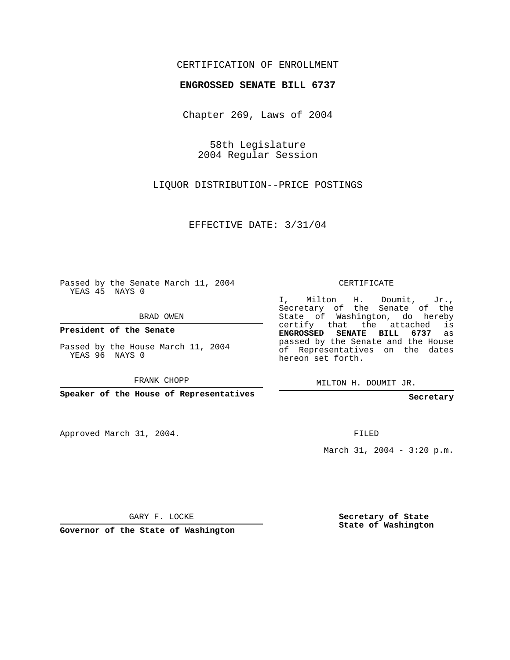## CERTIFICATION OF ENROLLMENT

## **ENGROSSED SENATE BILL 6737**

Chapter 269, Laws of 2004

58th Legislature 2004 Regular Session

LIQUOR DISTRIBUTION--PRICE POSTINGS

EFFECTIVE DATE: 3/31/04

Passed by the Senate March 11, 2004 YEAS 45 NAYS 0

BRAD OWEN

**President of the Senate**

Passed by the House March 11, 2004 YEAS 96 NAYS 0

FRANK CHOPP

**Speaker of the House of Representatives**

Approved March 31, 2004.

CERTIFICATE

I, Milton H. Doumit, Jr., Secretary of the Senate of the State of Washington, do hereby certify that the attached is **ENGROSSED SENATE BILL 6737** as passed by the Senate and the House of Representatives on the dates hereon set forth.

MILTON H. DOUMIT JR.

**Secretary**

FILED

March 31, 2004 - 3:20 p.m.

GARY F. LOCKE

**Governor of the State of Washington**

**Secretary of State State of Washington**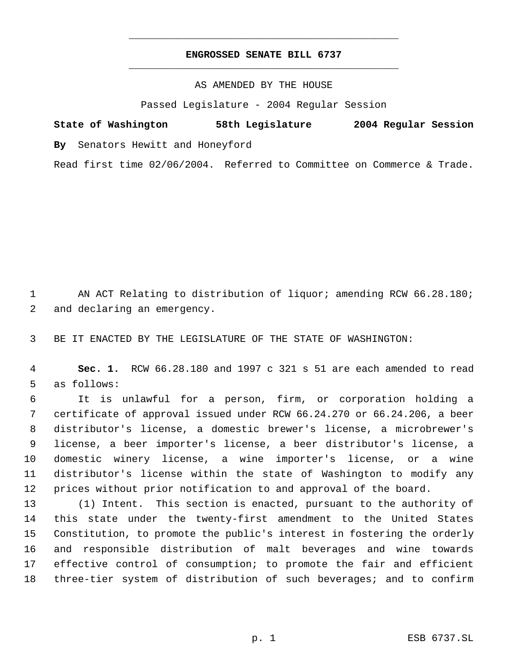## **ENGROSSED SENATE BILL 6737** \_\_\_\_\_\_\_\_\_\_\_\_\_\_\_\_\_\_\_\_\_\_\_\_\_\_\_\_\_\_\_\_\_\_\_\_\_\_\_\_\_\_\_\_\_

\_\_\_\_\_\_\_\_\_\_\_\_\_\_\_\_\_\_\_\_\_\_\_\_\_\_\_\_\_\_\_\_\_\_\_\_\_\_\_\_\_\_\_\_\_

AS AMENDED BY THE HOUSE

Passed Legislature - 2004 Regular Session

**State of Washington 58th Legislature 2004 Regular Session By** Senators Hewitt and Honeyford Read first time 02/06/2004. Referred to Committee on Commerce & Trade.

 AN ACT Relating to distribution of liquor; amending RCW 66.28.180; and declaring an emergency.

BE IT ENACTED BY THE LEGISLATURE OF THE STATE OF WASHINGTON:

 **Sec. 1.** RCW 66.28.180 and 1997 c 321 s 51 are each amended to read as follows:

 It is unlawful for a person, firm, or corporation holding a certificate of approval issued under RCW 66.24.270 or 66.24.206, a beer distributor's license, a domestic brewer's license, a microbrewer's license, a beer importer's license, a beer distributor's license, a domestic winery license, a wine importer's license, or a wine distributor's license within the state of Washington to modify any prices without prior notification to and approval of the board.

 (1) Intent. This section is enacted, pursuant to the authority of this state under the twenty-first amendment to the United States Constitution, to promote the public's interest in fostering the orderly and responsible distribution of malt beverages and wine towards effective control of consumption; to promote the fair and efficient three-tier system of distribution of such beverages; and to confirm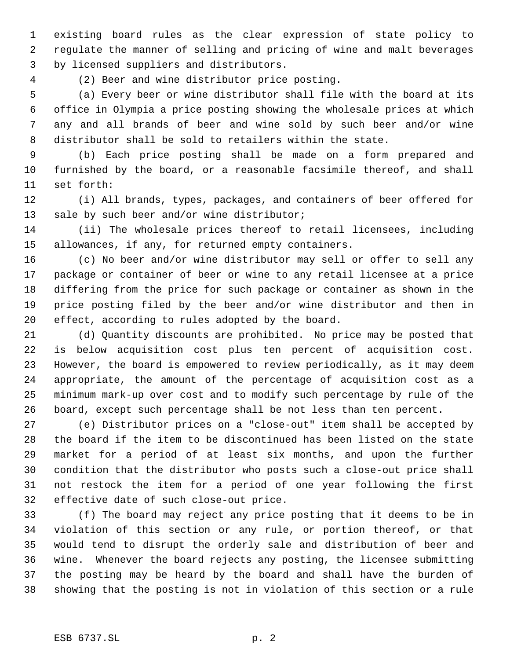existing board rules as the clear expression of state policy to regulate the manner of selling and pricing of wine and malt beverages by licensed suppliers and distributors.

(2) Beer and wine distributor price posting.

 (a) Every beer or wine distributor shall file with the board at its office in Olympia a price posting showing the wholesale prices at which any and all brands of beer and wine sold by such beer and/or wine distributor shall be sold to retailers within the state.

 (b) Each price posting shall be made on a form prepared and furnished by the board, or a reasonable facsimile thereof, and shall set forth:

 (i) All brands, types, packages, and containers of beer offered for 13 sale by such beer and/or wine distributor;

 (ii) The wholesale prices thereof to retail licensees, including allowances, if any, for returned empty containers.

 (c) No beer and/or wine distributor may sell or offer to sell any package or container of beer or wine to any retail licensee at a price differing from the price for such package or container as shown in the price posting filed by the beer and/or wine distributor and then in effect, according to rules adopted by the board.

 (d) Quantity discounts are prohibited. No price may be posted that is below acquisition cost plus ten percent of acquisition cost. However, the board is empowered to review periodically, as it may deem appropriate, the amount of the percentage of acquisition cost as a minimum mark-up over cost and to modify such percentage by rule of the board, except such percentage shall be not less than ten percent.

 (e) Distributor prices on a "close-out" item shall be accepted by the board if the item to be discontinued has been listed on the state market for a period of at least six months, and upon the further condition that the distributor who posts such a close-out price shall not restock the item for a period of one year following the first effective date of such close-out price.

 (f) The board may reject any price posting that it deems to be in violation of this section or any rule, or portion thereof, or that would tend to disrupt the orderly sale and distribution of beer and wine. Whenever the board rejects any posting, the licensee submitting the posting may be heard by the board and shall have the burden of showing that the posting is not in violation of this section or a rule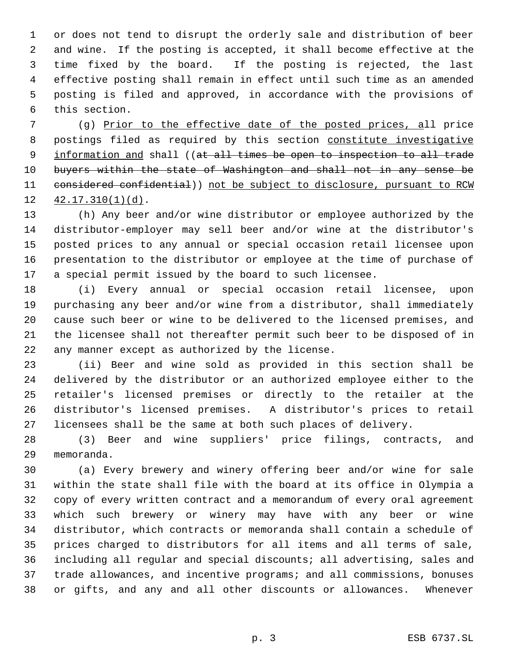or does not tend to disrupt the orderly sale and distribution of beer and wine. If the posting is accepted, it shall become effective at the time fixed by the board. If the posting is rejected, the last effective posting shall remain in effect until such time as an amended posting is filed and approved, in accordance with the provisions of this section.

 (g) Prior to the effective date of the posted prices, all price 8 postings filed as required by this section constitute investigative 9 information and shall ((at all times be open to inspection to all trade buyers within the state of Washington and shall not in any sense be 11 considered confidential)) not be subject to disclosure, pursuant to RCW 42.17.310(1)(d).

 (h) Any beer and/or wine distributor or employee authorized by the distributor-employer may sell beer and/or wine at the distributor's posted prices to any annual or special occasion retail licensee upon presentation to the distributor or employee at the time of purchase of a special permit issued by the board to such licensee.

 (i) Every annual or special occasion retail licensee, upon purchasing any beer and/or wine from a distributor, shall immediately cause such beer or wine to be delivered to the licensed premises, and the licensee shall not thereafter permit such beer to be disposed of in any manner except as authorized by the license.

 (ii) Beer and wine sold as provided in this section shall be delivered by the distributor or an authorized employee either to the retailer's licensed premises or directly to the retailer at the distributor's licensed premises. A distributor's prices to retail licensees shall be the same at both such places of delivery.

 (3) Beer and wine suppliers' price filings, contracts, and memoranda.

 (a) Every brewery and winery offering beer and/or wine for sale within the state shall file with the board at its office in Olympia a copy of every written contract and a memorandum of every oral agreement which such brewery or winery may have with any beer or wine distributor, which contracts or memoranda shall contain a schedule of prices charged to distributors for all items and all terms of sale, including all regular and special discounts; all advertising, sales and trade allowances, and incentive programs; and all commissions, bonuses or gifts, and any and all other discounts or allowances. Whenever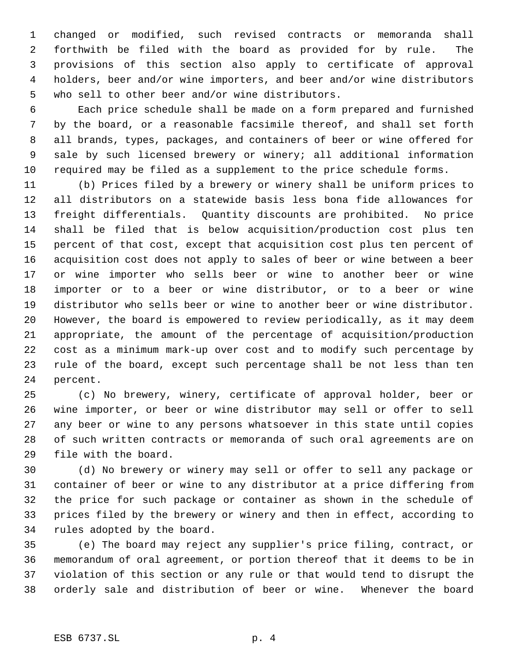changed or modified, such revised contracts or memoranda shall forthwith be filed with the board as provided for by rule. The provisions of this section also apply to certificate of approval holders, beer and/or wine importers, and beer and/or wine distributors who sell to other beer and/or wine distributors.

 Each price schedule shall be made on a form prepared and furnished by the board, or a reasonable facsimile thereof, and shall set forth all brands, types, packages, and containers of beer or wine offered for sale by such licensed brewery or winery; all additional information required may be filed as a supplement to the price schedule forms.

 (b) Prices filed by a brewery or winery shall be uniform prices to all distributors on a statewide basis less bona fide allowances for freight differentials. Quantity discounts are prohibited. No price shall be filed that is below acquisition/production cost plus ten percent of that cost, except that acquisition cost plus ten percent of acquisition cost does not apply to sales of beer or wine between a beer or wine importer who sells beer or wine to another beer or wine importer or to a beer or wine distributor, or to a beer or wine distributor who sells beer or wine to another beer or wine distributor. However, the board is empowered to review periodically, as it may deem appropriate, the amount of the percentage of acquisition/production cost as a minimum mark-up over cost and to modify such percentage by rule of the board, except such percentage shall be not less than ten percent.

 (c) No brewery, winery, certificate of approval holder, beer or wine importer, or beer or wine distributor may sell or offer to sell any beer or wine to any persons whatsoever in this state until copies of such written contracts or memoranda of such oral agreements are on file with the board.

 (d) No brewery or winery may sell or offer to sell any package or container of beer or wine to any distributor at a price differing from the price for such package or container as shown in the schedule of prices filed by the brewery or winery and then in effect, according to rules adopted by the board.

 (e) The board may reject any supplier's price filing, contract, or memorandum of oral agreement, or portion thereof that it deems to be in violation of this section or any rule or that would tend to disrupt the orderly sale and distribution of beer or wine. Whenever the board